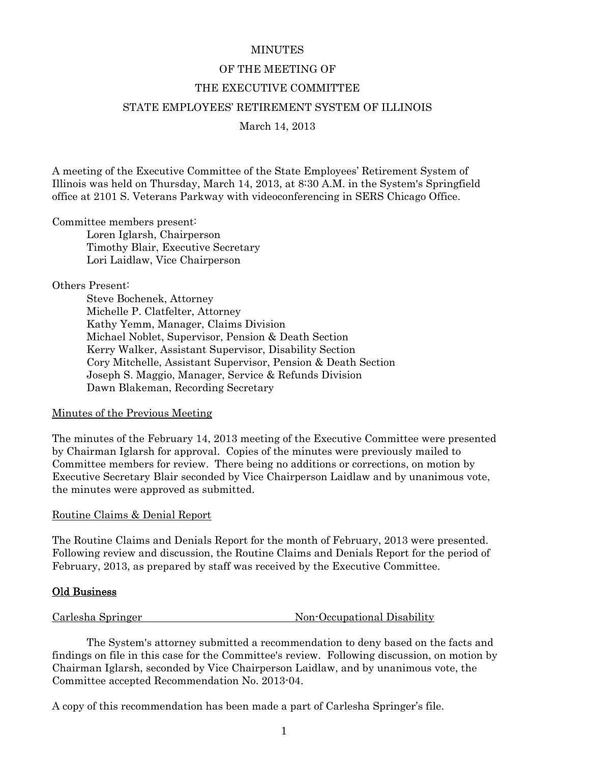#### **MINUTES**

# OF THE MEETING OF THE EXECUTIVE COMMITTEE STATE EMPLOYEES' RETIREMENT SYSTEM OF ILLINOIS March 14, 2013

A meeting of the Executive Committee of the State Employees' Retirement System of Illinois was held on Thursday, March 14, 2013, at 8:30 A.M. in the System's Springfield office at 2101 S. Veterans Parkway with videoconferencing in SERS Chicago Office.

#### Committee members present:

 Loren Iglarsh, Chairperson Timothy Blair, Executive Secretary Lori Laidlaw, Vice Chairperson

# Others Present:

 Steve Bochenek, Attorney Michelle P. Clatfelter, Attorney Kathy Yemm, Manager, Claims Division Michael Noblet, Supervisor, Pension & Death Section Kerry Walker, Assistant Supervisor, Disability Section Cory Mitchelle, Assistant Supervisor, Pension & Death Section Joseph S. Maggio, Manager, Service & Refunds Division Dawn Blakeman, Recording Secretary

# Minutes of the Previous Meeting

The minutes of the February 14, 2013 meeting of the Executive Committee were presented by Chairman Iglarsh for approval. Copies of the minutes were previously mailed to Committee members for review. There being no additions or corrections, on motion by Executive Secretary Blair seconded by Vice Chairperson Laidlaw and by unanimous vote, the minutes were approved as submitted.

# Routine Claims & Denial Report

The Routine Claims and Denials Report for the month of February, 2013 were presented. Following review and discussion, the Routine Claims and Denials Report for the period of February, 2013, as prepared by staff was received by the Executive Committee.

# Old Business

Carlesha Springer Non-Occupational Disability

 The System's attorney submitted a recommendation to deny based on the facts and findings on file in this case for the Committee's review. Following discussion, on motion by Chairman Iglarsh, seconded by Vice Chairperson Laidlaw, and by unanimous vote, the Committee accepted Recommendation No. 2013-04.

A copy of this recommendation has been made a part of Carlesha Springer's file.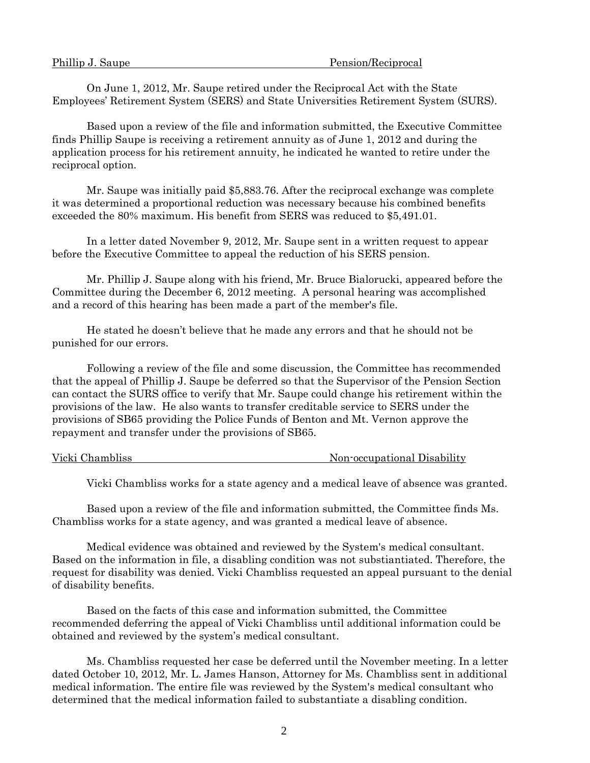| Phillip J. Saupe | Pension/Reciprocal |  |
|------------------|--------------------|--|
|                  |                    |  |

 On June 1, 2012, Mr. Saupe retired under the Reciprocal Act with the State Employees' Retirement System (SERS) and State Universities Retirement System (SURS).

 Based upon a review of the file and information submitted, the Executive Committee finds Phillip Saupe is receiving a retirement annuity as of June 1, 2012 and during the application process for his retirement annuity, he indicated he wanted to retire under the reciprocal option.

 Mr. Saupe was initially paid \$5,883.76. After the reciprocal exchange was complete it was determined a proportional reduction was necessary because his combined benefits exceeded the 80% maximum. His benefit from SERS was reduced to \$5,491.01.

 In a letter dated November 9, 2012, Mr. Saupe sent in a written request to appear before the Executive Committee to appeal the reduction of his SERS pension.

 Mr. Phillip J. Saupe along with his friend, Mr. Bruce Bialorucki, appeared before the Committee during the December 6, 2012 meeting. A personal hearing was accomplished and a record of this hearing has been made a part of the member's file.

 He stated he doesn't believe that he made any errors and that he should not be punished for our errors.

 Following a review of the file and some discussion, the Committee has recommended that the appeal of Phillip J. Saupe be deferred so that the Supervisor of the Pension Section can contact the SURS office to verify that Mr. Saupe could change his retirement within the provisions of the law. He also wants to transfer creditable service to SERS under the provisions of SB65 providing the Police Funds of Benton and Mt. Vernon approve the repayment and transfer under the provisions of SB65.

Vicki Chambliss **Non-occupational Disability** 

Vicki Chambliss works for a state agency and a medical leave of absence was granted.

 Based upon a review of the file and information submitted, the Committee finds Ms. Chambliss works for a state agency, and was granted a medical leave of absence.

 Medical evidence was obtained and reviewed by the System's medical consultant. Based on the information in file, a disabling condition was not substiantiated. Therefore, the request for disability was denied. Vicki Chambliss requested an appeal pursuant to the denial of disability benefits.

 Based on the facts of this case and information submitted, the Committee recommended deferring the appeal of Vicki Chambliss until additional information could be obtained and reviewed by the system's medical consultant.

 Ms. Chambliss requested her case be deferred until the November meeting. In a letter dated October 10, 2012, Mr. L. James Hanson, Attorney for Ms. Chambliss sent in additional medical information. The entire file was reviewed by the System's medical consultant who determined that the medical information failed to substantiate a disabling condition.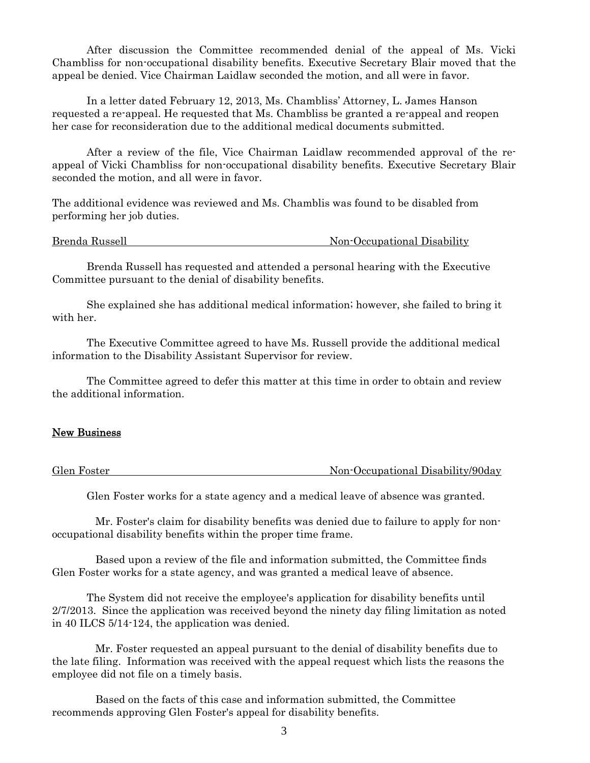After discussion the Committee recommended denial of the appeal of Ms. Vicki Chambliss for non-occupational disability benefits. Executive Secretary Blair moved that the appeal be denied. Vice Chairman Laidlaw seconded the motion, and all were in favor.

 In a letter dated February 12, 2013, Ms. Chambliss' Attorney, L. James Hanson requested a re-appeal. He requested that Ms. Chambliss be granted a re-appeal and reopen her case for reconsideration due to the additional medical documents submitted.

 After a review of the file, Vice Chairman Laidlaw recommended approval of the reappeal of Vicki Chambliss for non-occupational disability benefits. Executive Secretary Blair seconded the motion, and all were in favor.

The additional evidence was reviewed and Ms. Chamblis was found to be disabled from performing her job duties.

Brenda Russell Non-Occupational Disability

 Brenda Russell has requested and attended a personal hearing with the Executive Committee pursuant to the denial of disability benefits.

 She explained she has additional medical information; however, she failed to bring it with her.

 The Executive Committee agreed to have Ms. Russell provide the additional medical information to the Disability Assistant Supervisor for review.

 The Committee agreed to defer this matter at this time in order to obtain and review the additional information.

#### New Business

Glen Foster Non-Occupational Disability/90day

Glen Foster works for a state agency and a medical leave of absence was granted.

 Mr. Foster's claim for disability benefits was denied due to failure to apply for nonoccupational disability benefits within the proper time frame.

 Based upon a review of the file and information submitted, the Committee finds Glen Foster works for a state agency, and was granted a medical leave of absence.

The System did not receive the employee's application for disability benefits until 2/7/2013. Since the application was received beyond the ninety day filing limitation as noted in 40 ILCS 5/14-124, the application was denied.

 Mr. Foster requested an appeal pursuant to the denial of disability benefits due to the late filing. Information was received with the appeal request which lists the reasons the employee did not file on a timely basis.

 Based on the facts of this case and information submitted, the Committee recommends approving Glen Foster's appeal for disability benefits.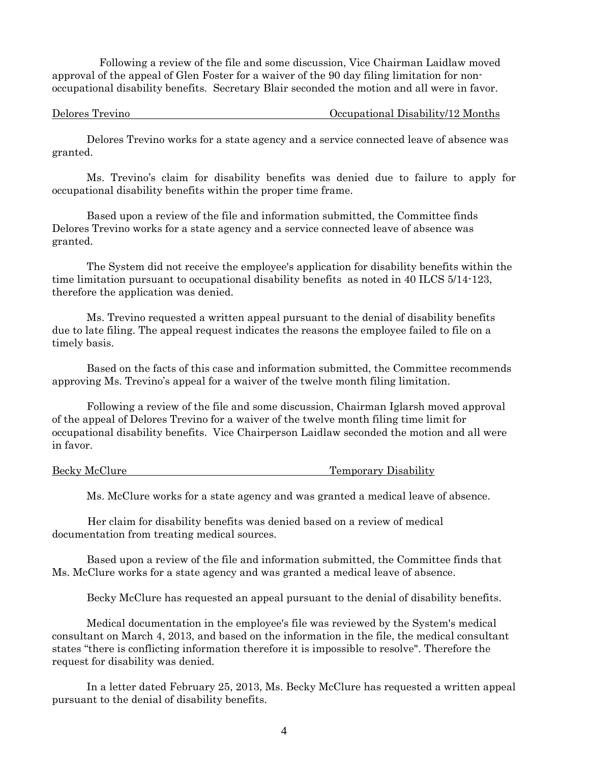Following a review of the file and some discussion, Vice Chairman Laidlaw moved approval of the appeal of Glen Foster for a waiver of the 90 day filing limitation for nonoccupational disability benefits. Secretary Blair seconded the motion and all were in favor.

Delores Trevino Occupational Disability/12 Months

 Delores Trevino works for a state agency and a service connected leave of absence was granted.

 Ms. Trevino's claim for disability benefits was denied due to failure to apply for occupational disability benefits within the proper time frame.

 Based upon a review of the file and information submitted, the Committee finds Delores Trevino works for a state agency and a service connected leave of absence was granted.

 The System did not receive the employee's application for disability benefits within the time limitation pursuant to occupational disability benefits as noted in 40 ILCS 5/14-123, therefore the application was denied.

 Ms. Trevino requested a written appeal pursuant to the denial of disability benefits due to late filing. The appeal request indicates the reasons the employee failed to file on a timely basis.

 Based on the facts of this case and information submitted, the Committee recommends approving Ms. Trevino's appeal for a waiver of the twelve month filing limitation.

 Following a review of the file and some discussion, Chairman Iglarsh moved approval of the appeal of Delores Trevino for a waiver of the twelve month filing time limit for occupational disability benefits. Vice Chairperson Laidlaw seconded the motion and all were in favor.

Becky McClure Temporary Disability

Ms. McClure works for a state agency and was granted a medical leave of absence.

 Her claim for disability benefits was denied based on a review of medical documentation from treating medical sources.

 Based upon a review of the file and information submitted, the Committee finds that Ms. McClure works for a state agency and was granted a medical leave of absence.

Becky McClure has requested an appeal pursuant to the denial of disability benefits.

 Medical documentation in the employee's file was reviewed by the System's medical consultant on March 4, 2013, and based on the information in the file, the medical consultant states "there is conflicting information therefore it is impossible to resolve". Therefore the request for disability was denied.

 In a letter dated February 25, 2013, Ms. Becky McClure has requested a written appeal pursuant to the denial of disability benefits.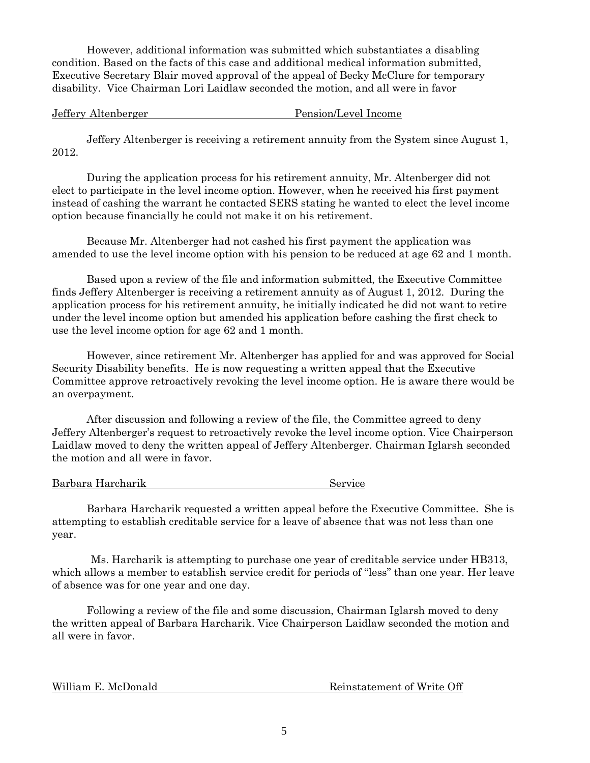However, additional information was submitted which substantiates a disabling condition. Based on the facts of this case and additional medical information submitted, Executive Secretary Blair moved approval of the appeal of Becky McClure for temporary disability. Vice Chairman Lori Laidlaw seconded the motion, and all were in favor

Jeffery Altenberger Pension/Level Income

 Jeffery Altenberger is receiving a retirement annuity from the System since August 1, 2012.

 During the application process for his retirement annuity, Mr. Altenberger did not elect to participate in the level income option. However, when he received his first payment instead of cashing the warrant he contacted SERS stating he wanted to elect the level income option because financially he could not make it on his retirement.

 Because Mr. Altenberger had not cashed his first payment the application was amended to use the level income option with his pension to be reduced at age 62 and 1 month.

 Based upon a review of the file and information submitted, the Executive Committee finds Jeffery Altenberger is receiving a retirement annuity as of August 1, 2012. During the application process for his retirement annuity, he initially indicated he did not want to retire under the level income option but amended his application before cashing the first check to use the level income option for age 62 and 1 month.

 However, since retirement Mr. Altenberger has applied for and was approved for Social Security Disability benefits. He is now requesting a written appeal that the Executive Committee approve retroactively revoking the level income option. He is aware there would be an overpayment.

 After discussion and following a review of the file, the Committee agreed to deny Jeffery Altenberger's request to retroactively revoke the level income option. Vice Chairperson Laidlaw moved to deny the written appeal of Jeffery Altenberger. Chairman Iglarsh seconded the motion and all were in favor.

Barbara Harcharik Service

 Barbara Harcharik requested a written appeal before the Executive Committee. She is attempting to establish creditable service for a leave of absence that was not less than one year.

 Ms. Harcharik is attempting to purchase one year of creditable service under HB313, which allows a member to establish service credit for periods of "less" than one year. Her leave of absence was for one year and one day.

 Following a review of the file and some discussion, Chairman Iglarsh moved to deny the written appeal of Barbara Harcharik. Vice Chairperson Laidlaw seconded the motion and all were in favor.

William E. McDonald **Reinstatement of Write Off**